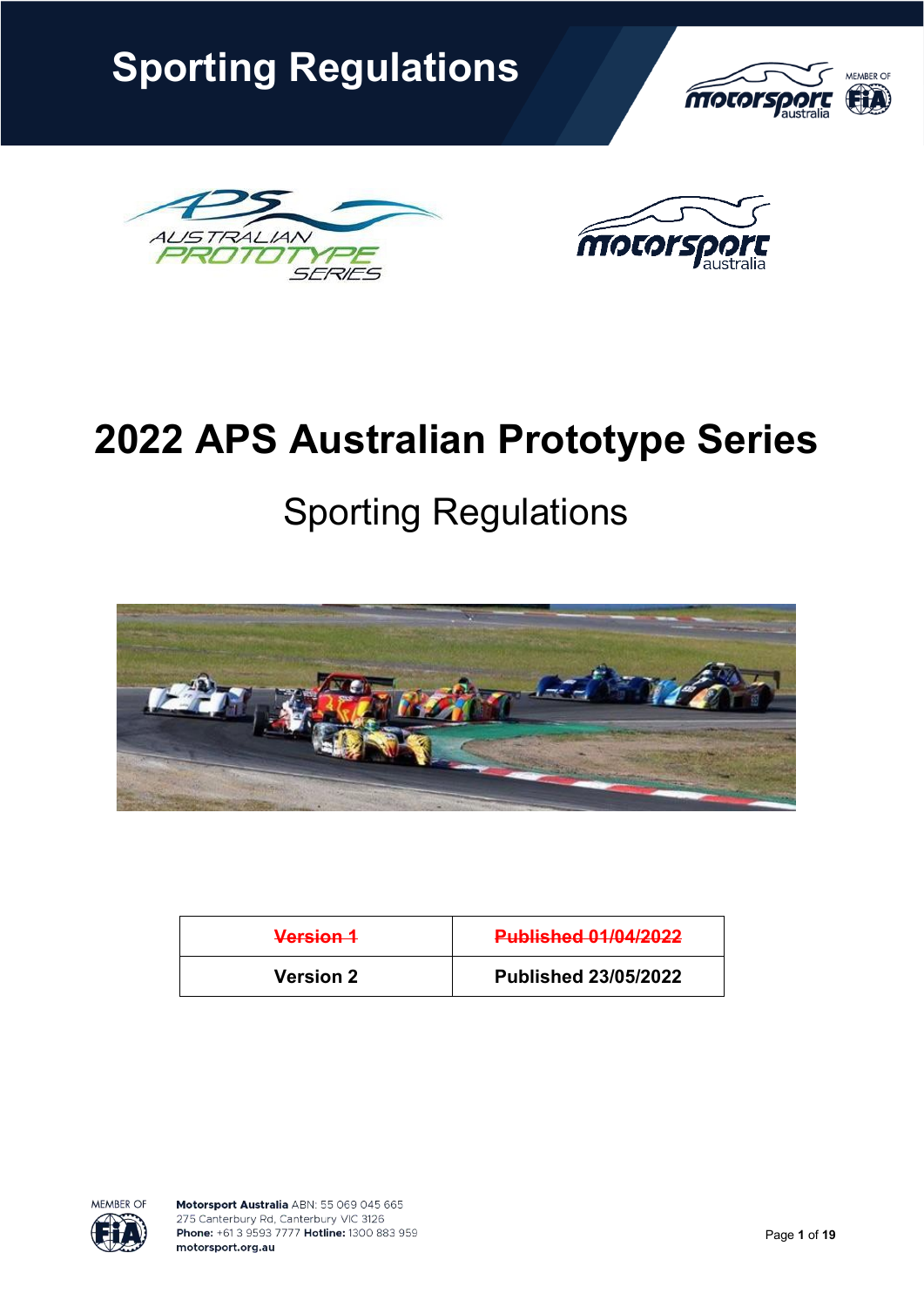





# **2022 APS Australian Prototype Series**

# Sporting Regulations



| Version 1        | <b>Published 01/04/2022</b> |
|------------------|-----------------------------|
| <b>Version 2</b> | <b>Published 23/05/2022</b> |

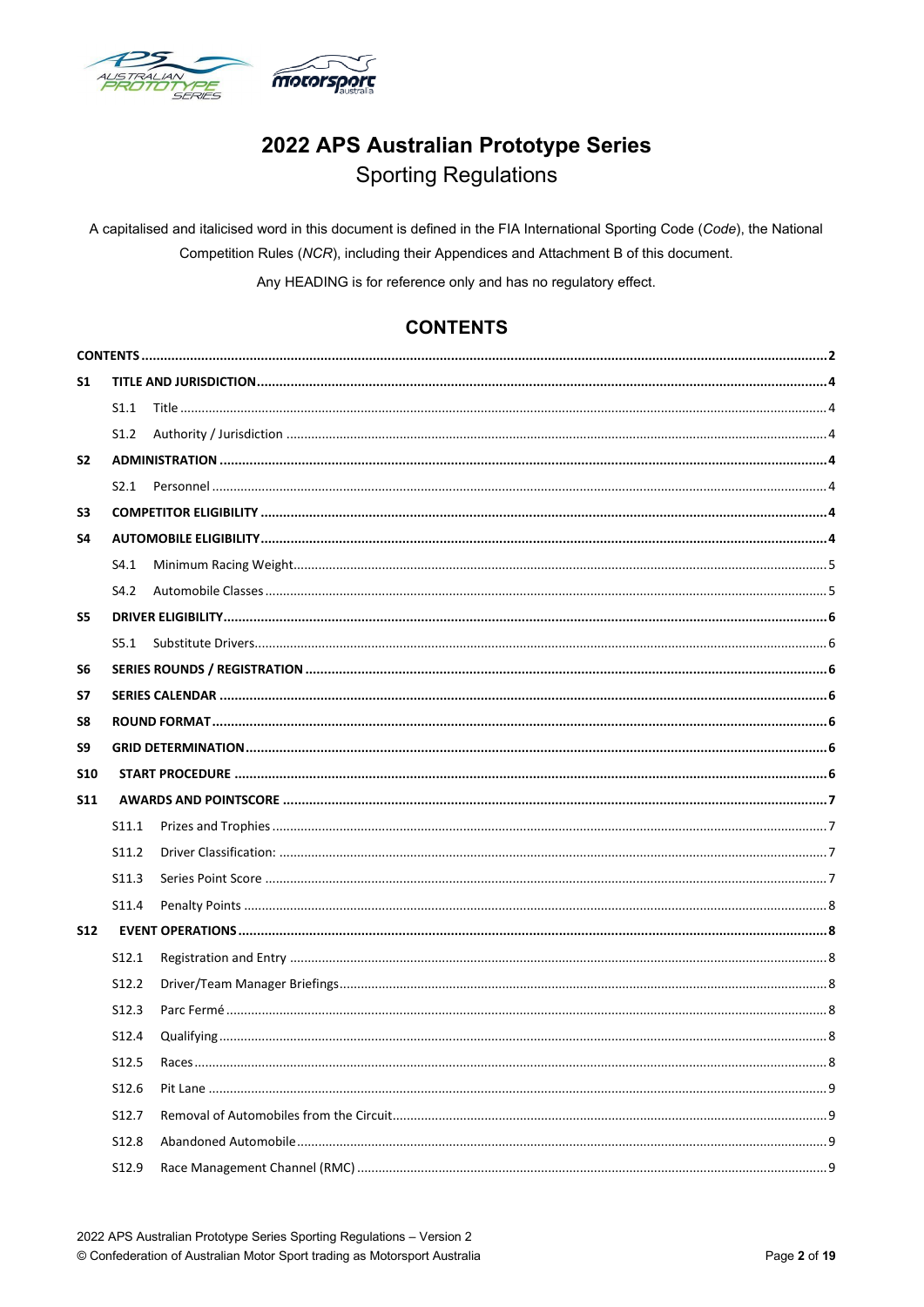

## 2022 APS Australian Prototype Series **Sporting Regulations**

A capitalised and italicised word in this document is defined in the FIA International Sporting Code (Code), the National Competition Rules (NCR), including their Appendices and Attachment B of this document.

Any HEADING is for reference only and has no regulatory effect.

## **CONTENTS**

<span id="page-1-0"></span>

| S <sub>1</sub> |                   |  |  |  |
|----------------|-------------------|--|--|--|
|                | S1.1              |  |  |  |
|                | S1.2              |  |  |  |
| S <sub>2</sub> |                   |  |  |  |
|                |                   |  |  |  |
| S <sub>3</sub> |                   |  |  |  |
| S4             |                   |  |  |  |
|                | S4.1              |  |  |  |
|                | S4.2              |  |  |  |
| S5             |                   |  |  |  |
|                | S5.1              |  |  |  |
| S6             |                   |  |  |  |
| S7             |                   |  |  |  |
| S8             |                   |  |  |  |
| S9             |                   |  |  |  |
| <b>S10</b>     |                   |  |  |  |
| <b>S11</b>     |                   |  |  |  |
|                |                   |  |  |  |
|                | S <sub>11.1</sub> |  |  |  |
|                | S11.2             |  |  |  |
|                | S11.3             |  |  |  |
|                | S11.4             |  |  |  |
| <b>S12</b>     |                   |  |  |  |
|                | S <sub>12.1</sub> |  |  |  |
|                | S12.2             |  |  |  |
|                | S <sub>12.3</sub> |  |  |  |
|                | S12.4             |  |  |  |
|                | S <sub>12.5</sub> |  |  |  |
|                | S12.6             |  |  |  |
|                | S12.7             |  |  |  |
|                | S <sub>12.8</sub> |  |  |  |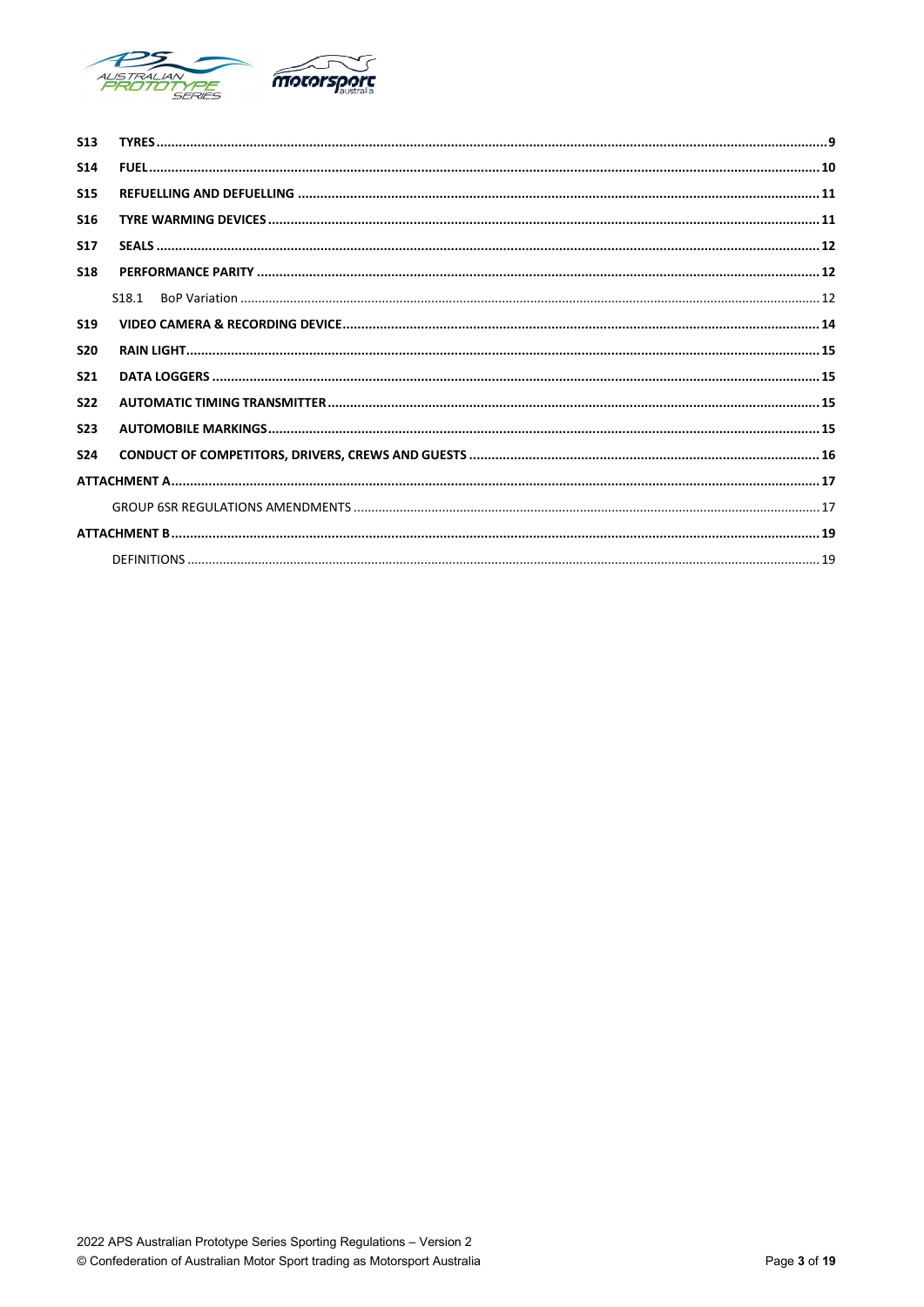

| <b>S13</b>      |                    |
|-----------------|--------------------|
| <b>S14</b>      |                    |
| <b>S15</b>      |                    |
| <b>S16</b>      |                    |
| <b>S17</b>      |                    |
| <b>S18</b>      |                    |
|                 | S <sub>18</sub> .1 |
| S <sub>19</sub> |                    |
| <b>S20</b>      |                    |
| <b>S21</b>      |                    |
| S <sub>22</sub> |                    |
| <b>S23</b>      |                    |
| <b>S24</b>      |                    |
|                 |                    |
|                 |                    |
|                 |                    |
|                 |                    |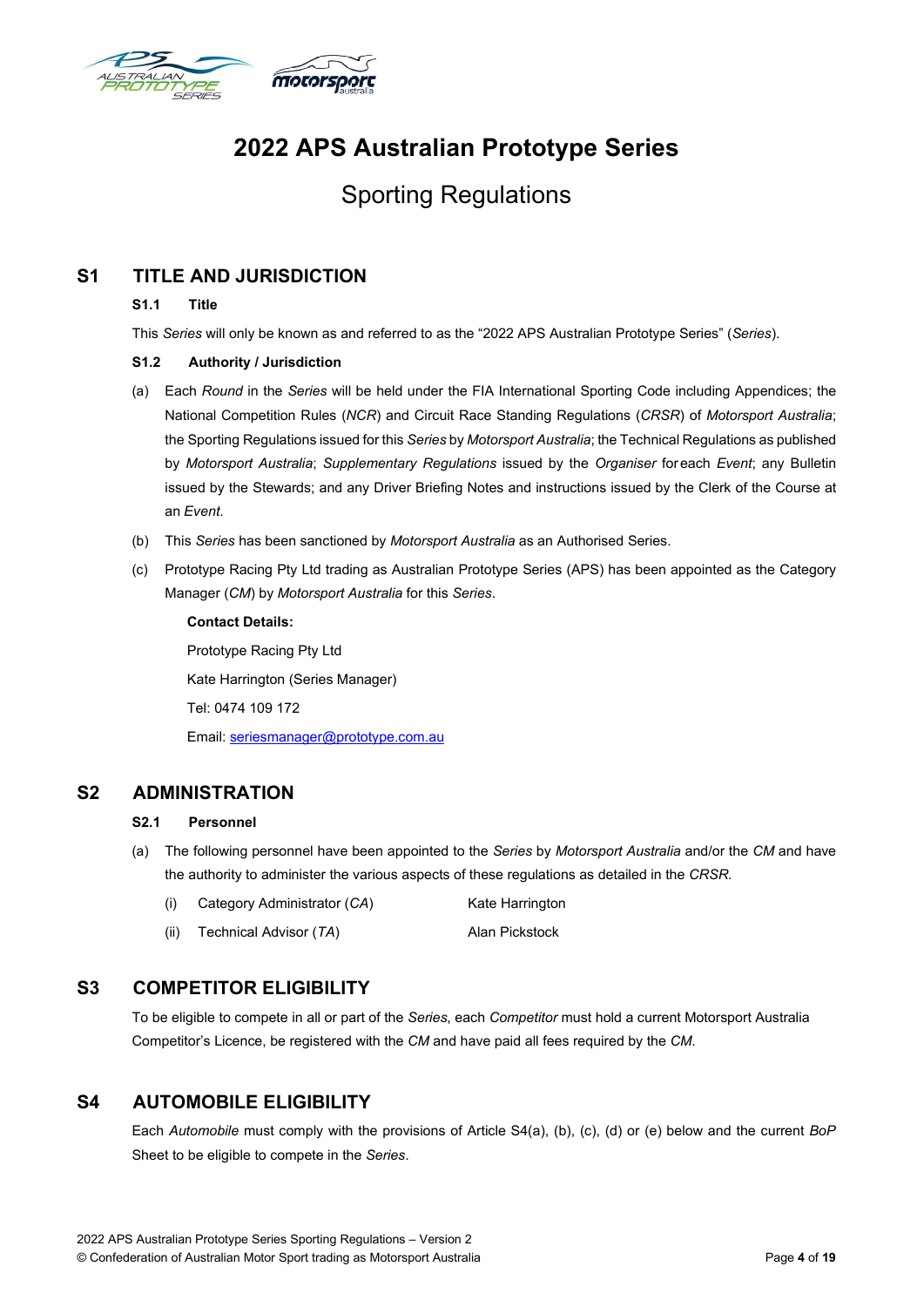

# **2022 APS Australian Prototype Series**

## Sporting Regulations

## <span id="page-3-2"></span><span id="page-3-1"></span><span id="page-3-0"></span>**S1 TITLE AND JURISDICTION**

#### **S1.1 Title**

This *Series* will only be known as and referred to as the "2022 APS Australian Prototype Series" (*Series*).

#### **S1.2 Authority / Jurisdiction**

- (a) Each *Round* in the *Series* will be held under the FIA International Sporting Code including Appendices; the National Competition Rules (*NCR*) and Circuit Race Standing Regulations (*CRSR*) of *Motorsport Australia*; the Sporting Regulations issued for this *Series* by *Motorsport Australia*; the Technical Regulations as published by *Motorsport Australia*; *Supplementary Regulations* issued by the *Organiser* foreach *Event*; any Bulletin issued by the Stewards; and any Driver Briefing Notes and instructions issued by the Clerk of the Course at an *Event*.
- (b) This *Series* has been sanctioned by *Motorsport Australia* as an Authorised Series.
- (c) Prototype Racing Pty Ltd trading as Australian Prototype Series (APS) has been appointed as the Category Manager (*CM*) by *Motorsport Australia* for this *Series*.

**Contact Details:** Prototype Racing Pty Ltd Kate Harrington (Series Manager) Tel: 0474 109 172 Email: [seriesmanager@prototype.com.au](mailto:seriesmanager@prototype.com.au)

## <span id="page-3-4"></span><span id="page-3-3"></span>**S2 ADMINISTRATION**

#### **S2.1 Personnel**

- (a) The following personnel have been appointed to the *Series* by *Motorsport Australia* and/or the *CM* and have the authority to administer the various aspects of these regulations as detailed in the *CRSR*.
	- (i) Category Administrator (CA) Kate Harrington
	- (ii) Technical Advisor (*TA*) Alan Pickstock

## <span id="page-3-5"></span>**S3 COMPETITOR ELIGIBILITY**

To be eligible to compete in all or part of the *Series*, each *Competitor* must hold a current Motorsport Australia Competitor's Licence, be registered with the *CM* and have paid all fees required by the *CM*.

## <span id="page-3-6"></span>**S4 AUTOMOBILE ELIGIBILITY**

Each *Automobile* must comply with the provisions of Article S4(a), (b), (c), (d) or (e) below and the current *BoP* Sheet to be eligible to compete in the *Series*.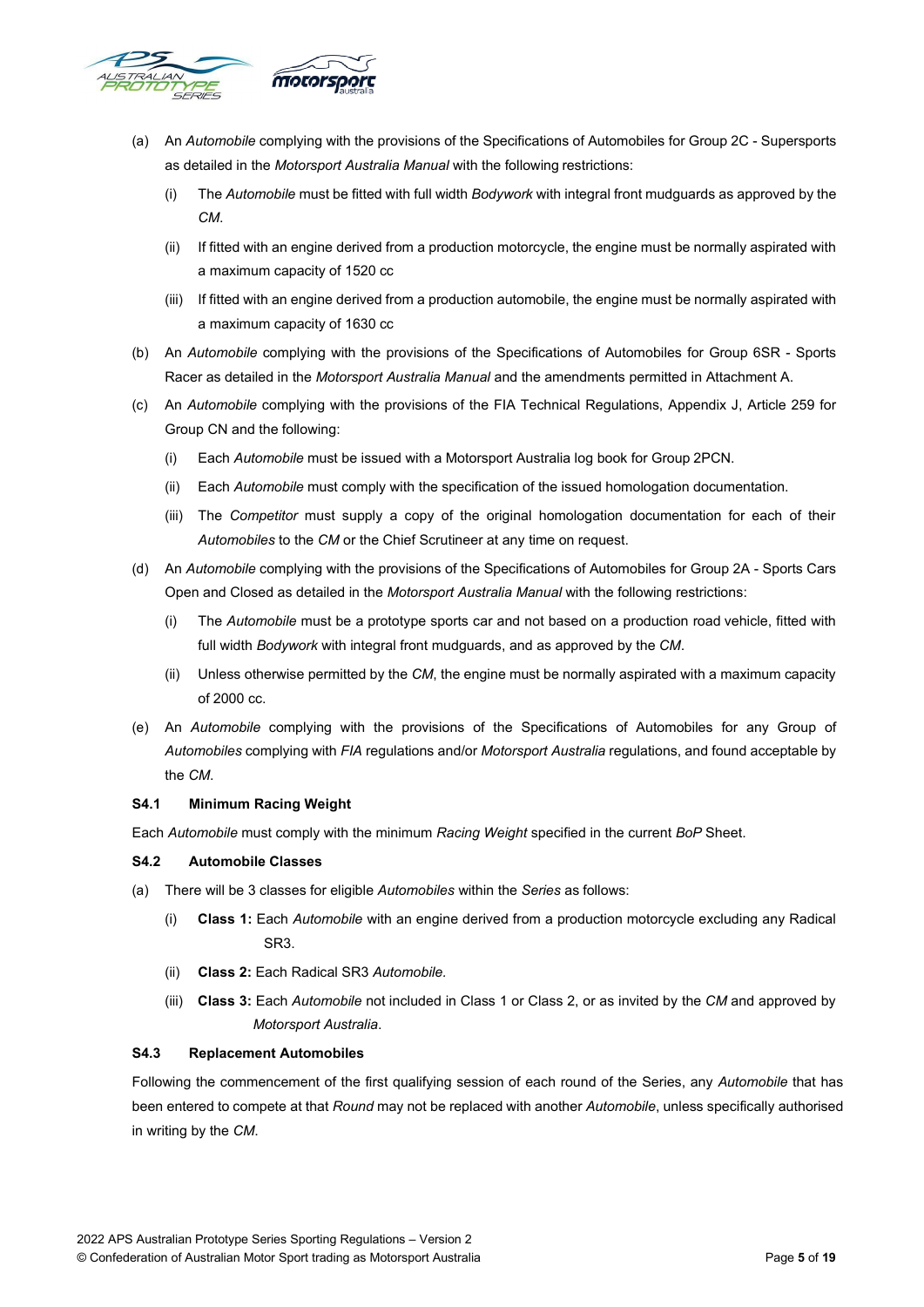

- (a) An *Automobile* complying with the provisions of the Specifications of Automobiles for Group 2C Supersports as detailed in the *Motorsport Australia Manual* with the following restrictions:
	- (i) The *Automobile* must be fitted with full width *Bodywork* with integral front mudguards as approved by the *CM*.
	- (ii) If fitted with an engine derived from a production motorcycle, the engine must be normally aspirated with a maximum capacity of 1520 cc
	- (iii) If fitted with an engine derived from a production automobile, the engine must be normally aspirated with a maximum capacity of 1630 cc
- (b) An *Automobile* complying with the provisions of the Specifications of Automobiles for Group 6SR Sports Racer as detailed in the *Motorsport Australia Manual* and the amendments permitted in Attachment A.
- (c) An *Automobile* complying with the provisions of the FIA Technical Regulations, Appendix J, Article 259 for Group CN and the following:
	- (i) Each *Automobile* must be issued with a Motorsport Australia log book for Group 2PCN.
	- (ii) Each *Automobile* must comply with the specification of the issued homologation documentation.
	- (iii) The *Competitor* must supply a copy of the original homologation documentation for each of their *Automobiles* to the *CM* or the Chief Scrutineer at any time on request.
- (d) An *Automobile* complying with the provisions of the Specifications of Automobiles for Group 2A Sports Cars Open and Closed as detailed in the *Motorsport Australia Manual* with the following restrictions:
	- (i) The *Automobile* must be a prototype sports car and not based on a production road vehicle, fitted with full width *Bodywork* with integral front mudguards, and as approved by the *CM*.
	- (ii) Unless otherwise permitted by the *CM*, the engine must be normally aspirated with a maximum capacity of 2000 cc.
- (e) An *Automobile* complying with the provisions of the Specifications of Automobiles for any Group of *Automobiles* complying with *FIA* regulations and/or *Motorsport Australia* regulations, and found acceptable by the *CM*.

#### <span id="page-4-0"></span>**S4.1 Minimum Racing Weight**

Each *Automobile* must comply with the minimum *Racing Weight* specified in the current *BoP* Sheet.

#### <span id="page-4-1"></span>**S4.2 Automobile Classes**

- (a) There will be 3 classes for eligible *Automobiles* within the *Series* as follows:
	- (i) **Class 1:** Each *Automobile* with an engine derived from a production motorcycle excluding any Radical SR3.
	- (ii) **Class 2:** Each Radical SR3 *Automobile.*
	- (iii) **Class 3:** Each *Automobile* not included in Class 1 or Class 2, or as invited by the *CM* and approved by *Motorsport Australia*.

#### **S4.3 Replacement Automobiles**

Following the commencement of the first qualifying session of each round of the Series, any *Automobile* that has been entered to compete at that *Round* may not be replaced with another *Automobile*, unless specifically authorised in writing by the *CM*.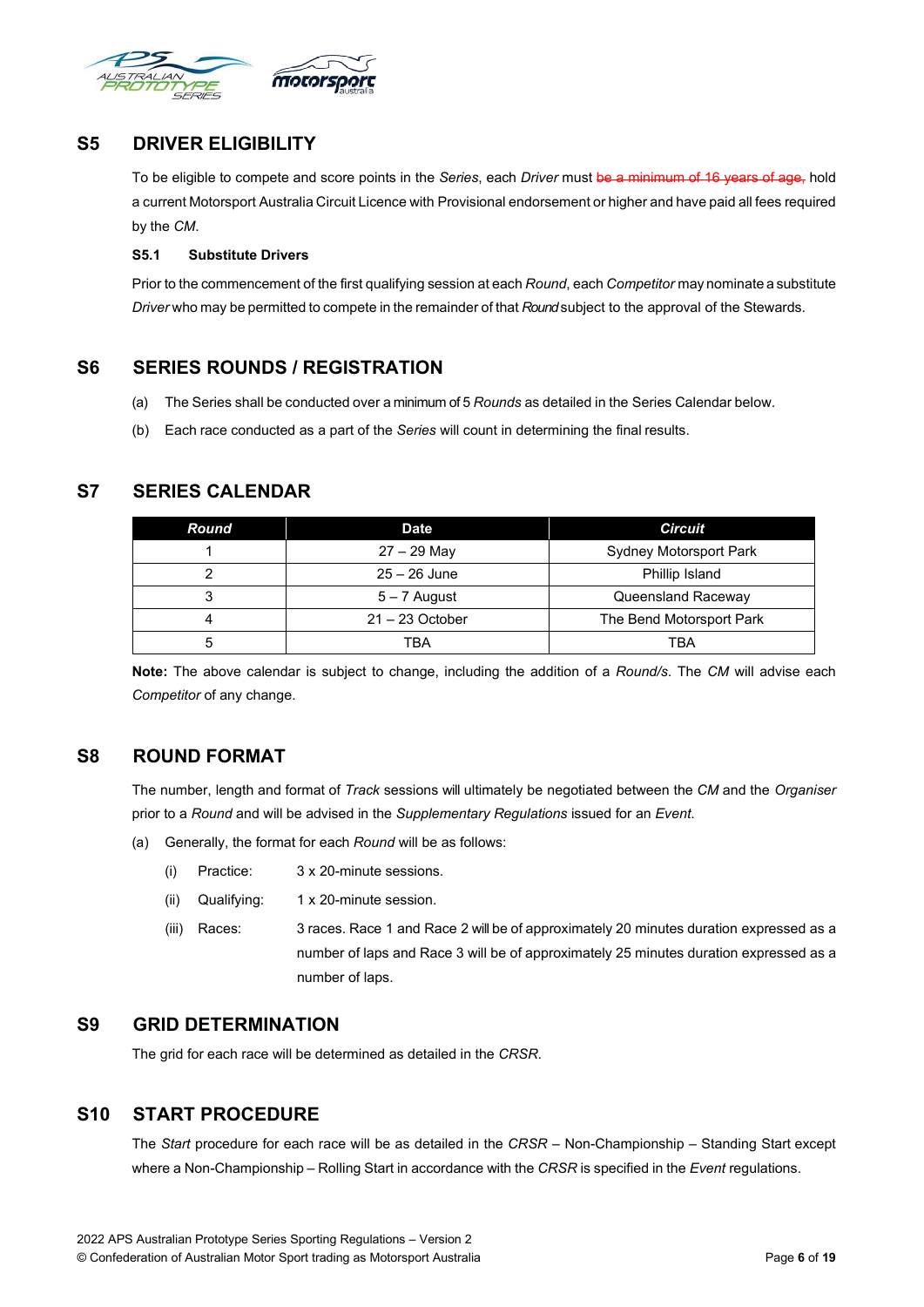

## <span id="page-5-0"></span>**S5 DRIVER ELIGIBILITY**

To be eligible to compete and score points in the *Series*, each *Driver* must be a minimum of 16 years of age, hold a current Motorsport Australia Circuit Licence with Provisional endorsement or higher and have paid all fees required by the *CM*.

#### <span id="page-5-1"></span>**S5.1 Substitute Drivers**

Prior to the commencement of the first qualifying session at each *Round*, each *Competitor* may nominate a substitute *Driver* who may be permitted to compete in the remainder of that *Round*subject to the approval of the Stewards.

## <span id="page-5-2"></span>**S6 SERIES ROUNDS / REGISTRATION**

- (a) The Series shall be conducted over a minimum of 5 *Rounds* as detailed in the Series Calendar below.
- (b) Each race conducted as a part of the *Series* will count in determining the final results.

## <span id="page-5-3"></span>**S7 SERIES CALENDAR**

| Round | <b>Date</b>       | <b>Circuit</b>                |
|-------|-------------------|-------------------------------|
|       | $27 - 29$ May     | <b>Sydney Motorsport Park</b> |
|       | $25 - 26$ June    | Phillip Island                |
|       | $5 - 7$ August    | Queensland Raceway            |
|       | $21 - 23$ October | The Bend Motorsport Park      |
|       | TBA               | <b>TBA</b>                    |

**Note:** The above calendar is subject to change, including the addition of a *Round/s*. The *CM* will advise each *Competitor* of any change.

## <span id="page-5-4"></span>**S8 ROUND FORMAT**

The number, length and format of *Track* sessions will ultimately be negotiated between the *CM* and the *Organiser* prior to a *Round* and will be advised in the *Supplementary Regulations* issued for an *Event*.

- (a) Generally, the format for each *Round* will be as follows:
	- (i) Practice: 3 x 20-minute sessions.
	- (ii) Qualifying: 1 x 20-minute session.
	- (iii) Races: 3 races. Race 1 and Race 2 will be of approximately 20 minutes duration expressed as a number of laps and Race 3 will be of approximately 25 minutes duration expressed as a number of laps.

## <span id="page-5-5"></span>**S9 GRID DETERMINATION**

The grid for each race will be determined as detailed in the *CRSR*.

## <span id="page-5-6"></span>**S10 START PROCEDURE**

The *Start* procedure for each race will be as detailed in the *CRSR* – Non-Championship – Standing Start except where a Non-Championship – Rolling Start in accordance with the *CRSR* is specified in the *Event* regulations.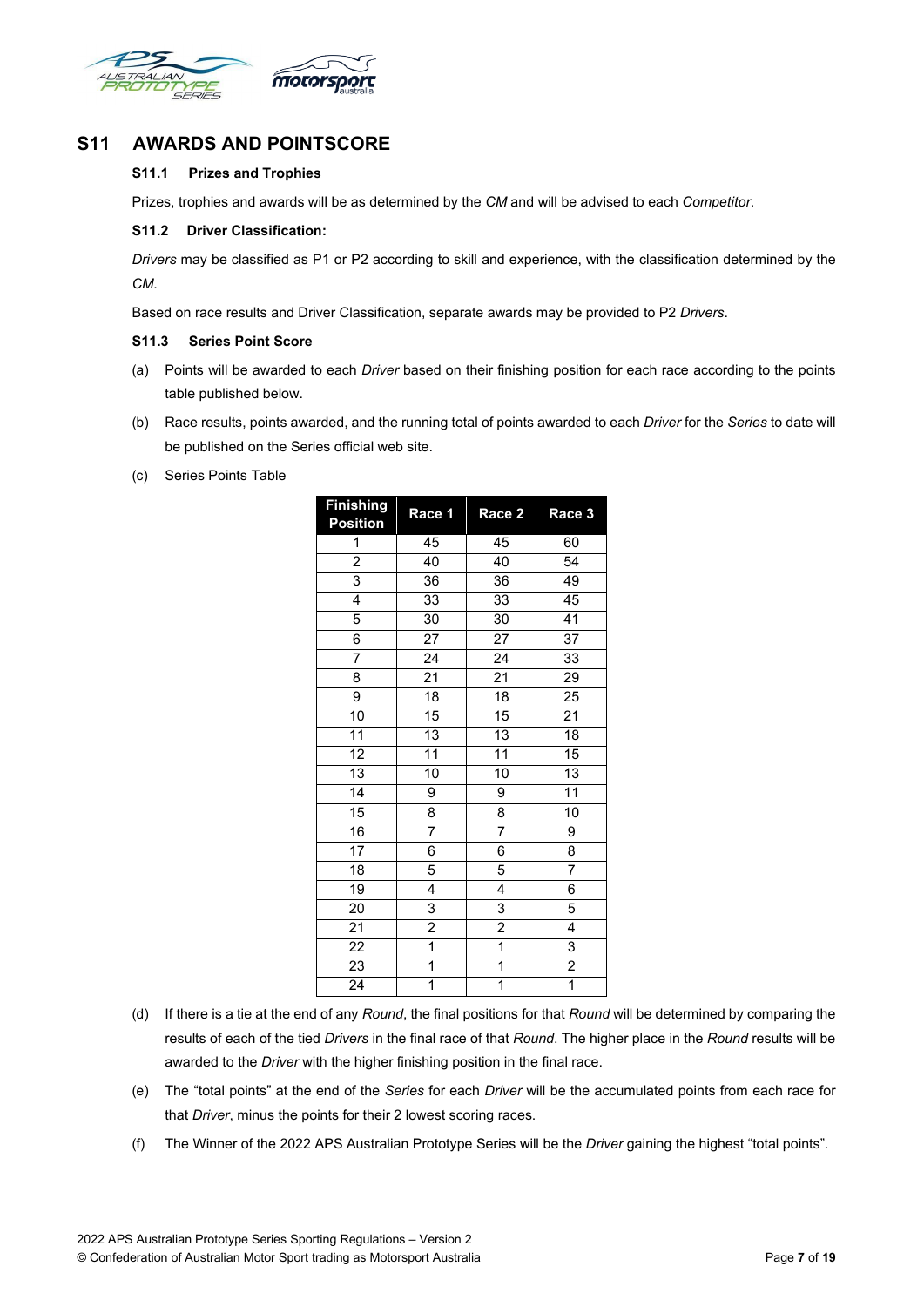

## <span id="page-6-2"></span><span id="page-6-1"></span><span id="page-6-0"></span>**S11 AWARDS AND POINTSCORE**

#### **S11.1 Prizes and Trophies**

Prizes, trophies and awards will be as determined by the *CM* and will be advised to each *Competitor*.

#### **S11.2 Driver Classification:**

*Drivers* may be classified as P1 or P2 according to skill and experience, with the classification determined by the *CM*.

Based on race results and Driver Classification, separate awards may be provided to P2 *Drivers*.

#### <span id="page-6-3"></span>**S11.3 Series Point Score**

- (a) Points will be awarded to each *Driver* based on their finishing position for each race according to the points table published below.
- (b) Race results, points awarded, and the running total of points awarded to each *Driver* for the *Series* to date will be published on the Series official web site.
- (c) Series Points Table

| <b>Finishing</b><br><b>Position</b> | Race 1                  | Race 2                  | Race 3          |
|-------------------------------------|-------------------------|-------------------------|-----------------|
| 1                                   | 45                      | 45                      | 60              |
| $\overline{2}$                      | 40                      | 40                      | 54              |
| 3                                   | 36                      | 36                      | 49              |
| $\overline{4}$                      | $\overline{33}$         | 33                      | $\overline{45}$ |
| 5                                   | $\overline{30}$         | 30                      | 41              |
| 6                                   | 27                      | 27                      | 37              |
| 7                                   | $\overline{24}$         | $\overline{24}$         | 33              |
| 8                                   | 21                      | 21                      | 29              |
| 9                                   | $\overline{18}$         | $\overline{18}$         | $\overline{25}$ |
| 10                                  | 15                      | 15                      | $\overline{21}$ |
| 11                                  | 13                      | 13                      | $\overline{18}$ |
| $\overline{12}$                     | $\overline{11}$         | $\overline{11}$         | $\overline{15}$ |
| 13                                  | $\overline{10}$         | $\overline{10}$         | 13              |
| 14                                  | 9                       | 9                       | $\overline{11}$ |
| 15                                  | 8                       | 8                       | 10              |
| 16                                  | 7                       | 7                       | 9               |
| $\overline{17}$                     | 6                       | 6                       | 8               |
| $\overline{18}$                     | 5                       | 5                       | 7               |
| $\overline{19}$                     | $\overline{4}$          | $\overline{4}$          | 6               |
| 20                                  | 3                       | 3                       | 5               |
| $\overline{21}$                     | $\overline{2}$          | $\overline{2}$          | 4               |
| $\overline{22}$                     | $\overline{\mathbf{1}}$ | $\overline{1}$          | 3               |
| $\overline{23}$                     | $\overline{\mathbf{1}}$ | $\overline{\mathbf{1}}$ | $\overline{2}$  |
| 24                                  | 1                       | 1                       | $\overline{1}$  |

- (d) If there is a tie at the end of any *Round*, the final positions for that *Round* will be determined by comparing the results of each of the tied *Drivers* in the final race of that *Round*. The higher place in the *Round* results will be awarded to the *Driver* with the higher finishing position in the final race.
- (e) The "total points" at the end of the *Series* for each *Driver* will be the accumulated points from each race for that *Driver*, minus the points for their 2 lowest scoring races.
- (f) The Winner of the 2022 APS Australian Prototype Series will be the *Driver* gaining the highest "total points".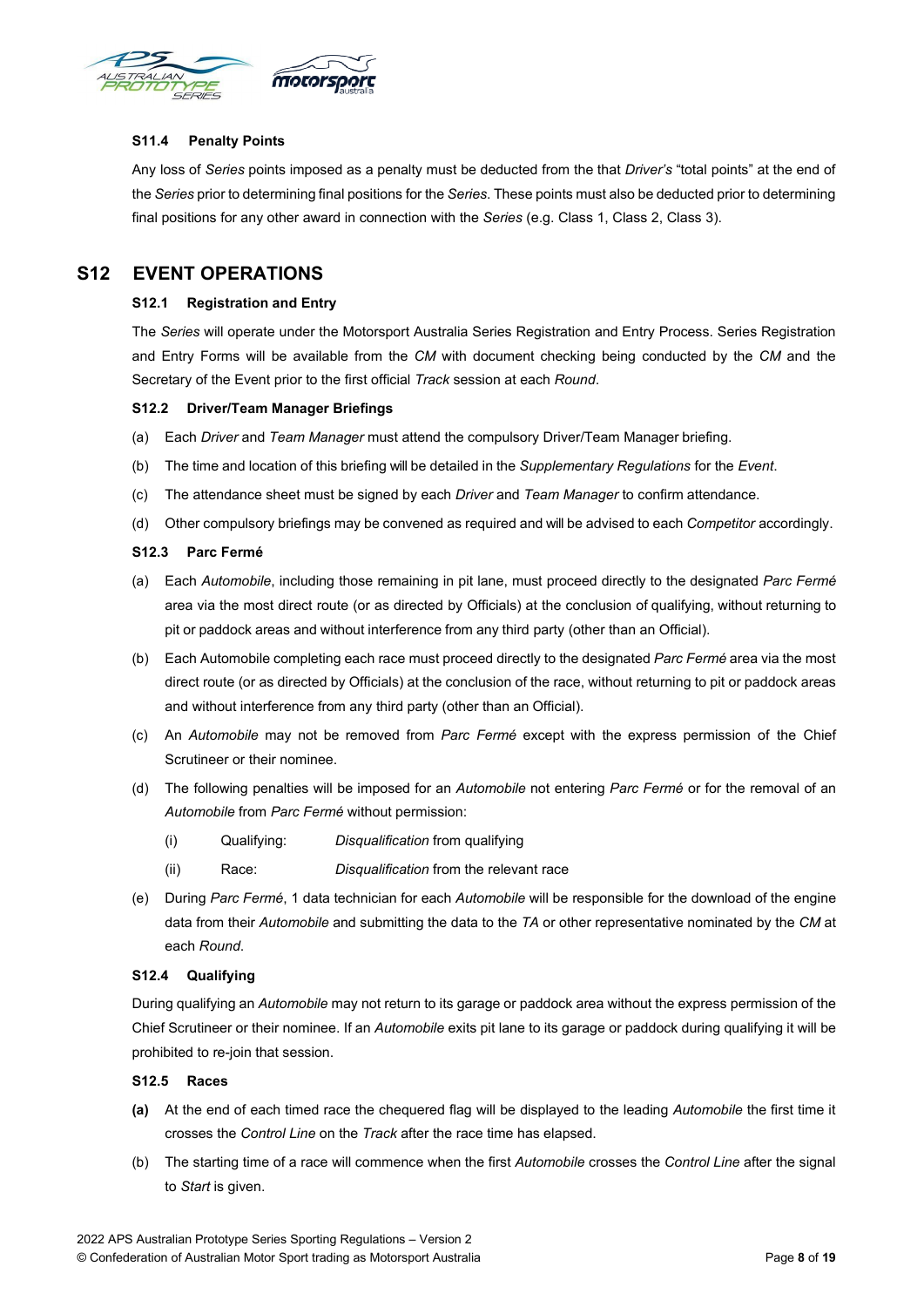<span id="page-7-0"></span>

#### **S11.4 Penalty Points**

Any loss of *Series* points imposed as a penalty must be deducted from the that *Driver's* "total points" at the end of the *Series* prior to determining final positions for the *Series*. These points must also be deducted prior to determining final positions for any other award in connection with the *Series* (e.g. Class 1, Class 2, Class 3).

## <span id="page-7-2"></span><span id="page-7-1"></span>**S12 EVENT OPERATIONS**

#### **S12.1 Registration and Entry**

The *Series* will operate under the Motorsport Australia Series Registration and Entry Process. Series Registration and Entry Forms will be available from the *CM* with document checking being conducted by the *CM* and the Secretary of the Event prior to the first official *Track* session at each *Round*.

#### <span id="page-7-3"></span>**S12.2 Driver/Team Manager Briefings**

- (a) Each *Driver* and *Team Manager* must attend the compulsory Driver/Team Manager briefing.
- (b) The time and location of this briefing will be detailed in the *Supplementary Regulations* for the *Event*.
- (c) The attendance sheet must be signed by each *Driver* and *Team Manager* to confirm attendance.
- (d) Other compulsory briefings may be convened as required and will be advised to each *Competitor* accordingly.

#### <span id="page-7-4"></span>**S12.3 Parc Fermé**

- (a) Each *Automobile*, including those remaining in pit lane, must proceed directly to the designated *Parc Fermé* area via the most direct route (or as directed by Officials) at the conclusion of qualifying, without returning to pit or paddock areas and without interference from any third party (other than an Official).
- (b) Each Automobile completing each race must proceed directly to the designated *Parc Fermé* area via the most direct route (or as directed by Officials) at the conclusion of the race, without returning to pit or paddock areas and without interference from any third party (other than an Official).
- (c) An *Automobile* may not be removed from *Parc Fermé* except with the express permission of the Chief Scrutineer or their nominee.
- (d) The following penalties will be imposed for an *Automobile* not entering *Parc Fermé* or for the removal of an *Automobile* from *Parc Fermé* without permission:
	- (i) Qualifying: *Disqualification* from qualifying
	- (ii) Race: *Disqualification* from the relevant race
- (e) During *Parc Fermé*, 1 data technician for each *Automobile* will be responsible for the download of the engine data from their *Automobile* and submitting the data to the *TA* or other representative nominated by the *CM* at each *Round*.

#### <span id="page-7-5"></span>**S12.4 Qualifying**

During qualifying an *Automobile* may not return to its garage or paddock area without the express permission of the Chief Scrutineer or their nominee. If an *Automobile* exits pit lane to its garage or paddock during qualifying it will be prohibited to re-join that session.

#### <span id="page-7-6"></span>**S12.5 Races**

- **(a)** At the end of each timed race the chequered flag will be displayed to the leading *Automobile* the first time it crosses the *Control Line* on the *Track* after the race time has elapsed.
- (b) The starting time of a race will commence when the first *Automobile* crosses the *Control Line* after the signal to *Start* is given.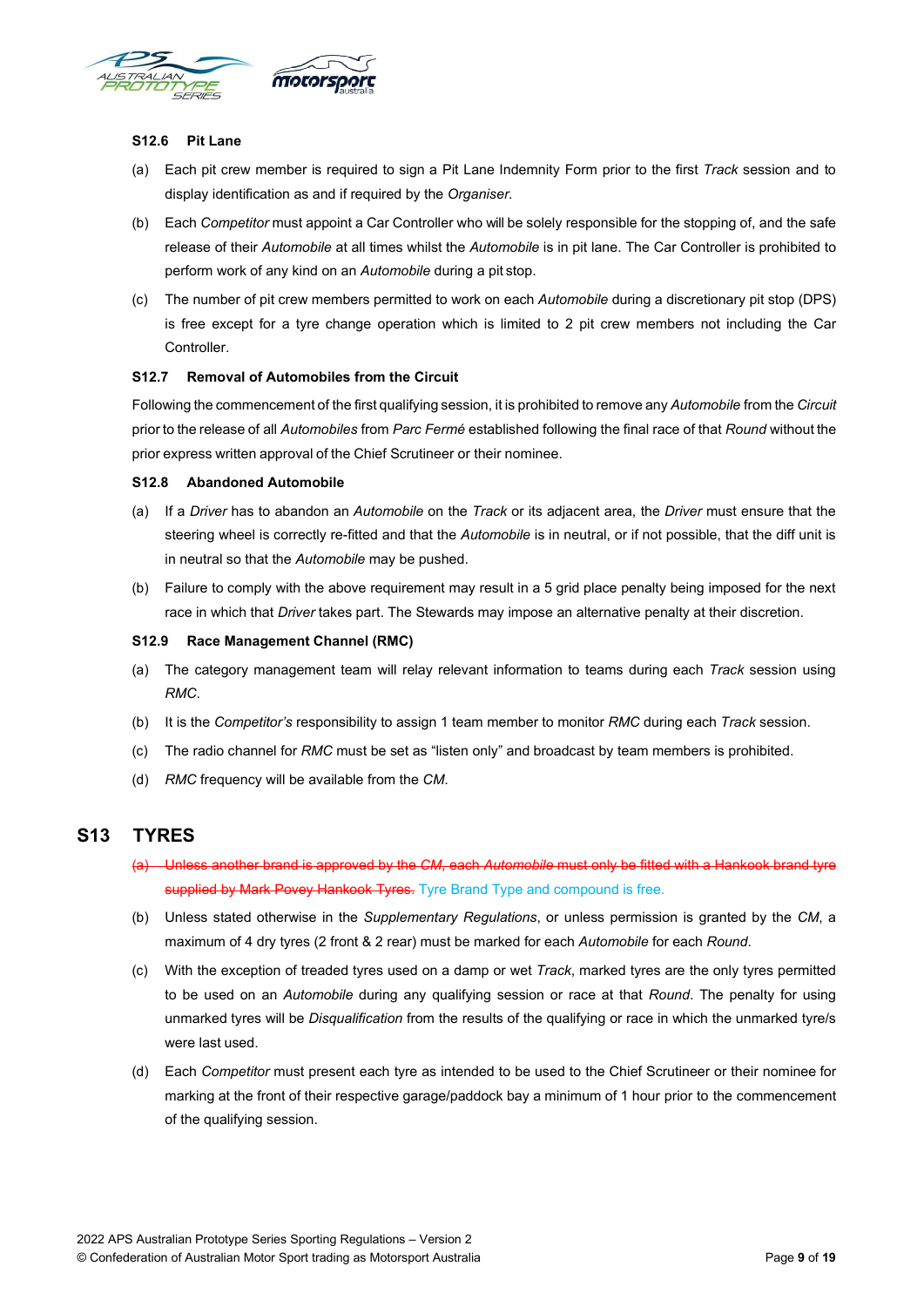<span id="page-8-0"></span>

#### **S12.6 Pit Lane**

- (a) Each pit crew member is required to sign a Pit Lane Indemnity Form prior to the first *Track* session and to display identification as and if required by the *Organiser*.
- (b) Each *Competitor* must appoint a Car Controller who will be solely responsible for the stopping of, and the safe release of their *Automobile* at all times whilst the *Automobile* is in pit lane. The Car Controller is prohibited to perform work of any kind on an *Automobile* during a pit stop.
- (c) The number of pit crew members permitted to work on each *Automobile* during a discretionary pit stop (DPS) is free except for a tyre change operation which is limited to 2 pit crew members not including the Car Controller.

#### <span id="page-8-1"></span>**S12.7 Removal of Automobiles from the Circuit**

Following the commencement of the first qualifying session, it is prohibited to remove any *Automobile* from the *Circuit* prior to the release of all *Automobiles* from *Parc Fermé* established following the final race of that *Round* without the prior express written approval of the Chief Scrutineer or their nominee.

#### <span id="page-8-2"></span>**S12.8 Abandoned Automobile**

- (a) If a *Driver* has to abandon an *Automobile* on the *Track* or its adjacent area, the *Driver* must ensure that the steering wheel is correctly re-fitted and that the *Automobile* is in neutral, or if not possible, that the diff unit is in neutral so that the *Automobile* may be pushed.
- (b) Failure to comply with the above requirement may result in a 5 grid place penalty being imposed for the next race in which that *Driver* takes part. The Stewards may impose an alternative penalty at their discretion.

#### <span id="page-8-3"></span>**S12.9 Race Management Channel (RMC)**

- (a) The category management team will relay relevant information to teams during each *Track* session using *RMC*.
- (b) It is the *Competitor's* responsibility to assign 1 team member to monitor *RMC* during each *Track* session.
- (c) The radio channel for *RMC* must be set as "listen only" and broadcast by team members is prohibited.
- (d) *RMC* frequency will be available from the *CM*.

## <span id="page-8-4"></span>**S13 TYRES**

- (a) Unless another brand is approved by the *CM*, each *Automobile* must only be fitted with a Hankook brand tyre supplied by Mark Povey Hankook Tyres. Tyre Brand Type and compound is free.
- (b) Unless stated otherwise in the *Supplementary Regulations*, or unless permission is granted by the *CM*, a maximum of 4 dry tyres (2 front & 2 rear) must be marked for each *Automobile* for each *Round*.
- (c) With the exception of treaded tyres used on a damp or wet *Track*, marked tyres are the only tyres permitted to be used on an *Automobile* during any qualifying session or race at that *Round*. The penalty for using unmarked tyres will be *Disqualification* from the results of the qualifying or race in which the unmarked tyre/s were last used.
- (d) Each *Competitor* must present each tyre as intended to be used to the Chief Scrutineer or their nominee for marking at the front of their respective garage/paddock bay a minimum of 1 hour prior to the commencement of the qualifying session.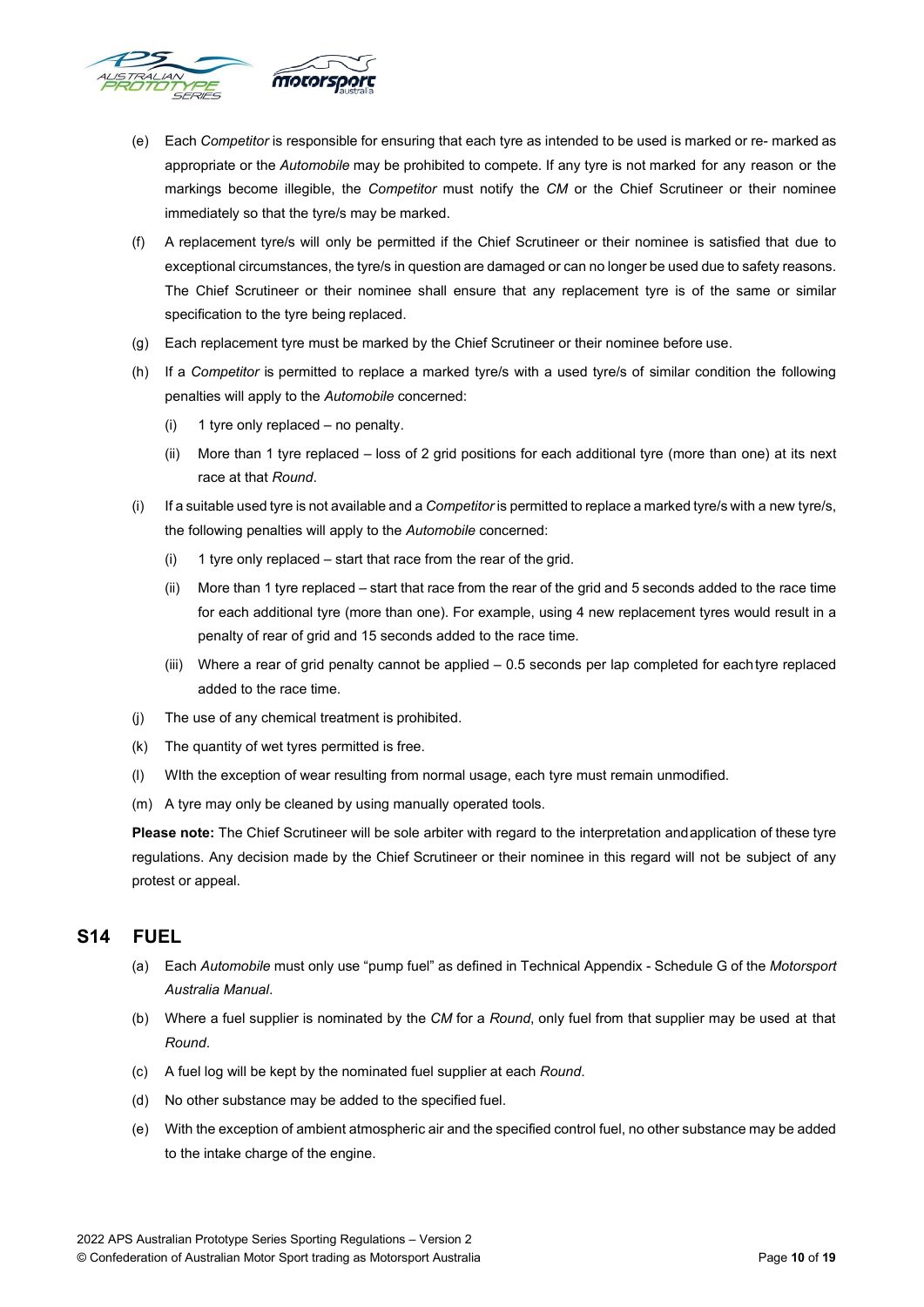

- (e) Each *Competitor* is responsible for ensuring that each tyre as intended to be used is marked or re- marked as appropriate or the *Automobile* may be prohibited to compete. If any tyre is not marked for any reason or the markings become illegible, the *Competitor* must notify the *CM* or the Chief Scrutineer or their nominee immediately so that the tyre/s may be marked.
- (f) A replacement tyre/s will only be permitted if the Chief Scrutineer or their nominee is satisfied that due to exceptional circumstances, the tyre/s in question are damaged or can no longer be used due to safety reasons. The Chief Scrutineer or their nominee shall ensure that any replacement tyre is of the same or similar specification to the tyre being replaced.
- (g) Each replacement tyre must be marked by the Chief Scrutineer or their nominee before use.
- (h) If a *Competitor* is permitted to replace a marked tyre/s with a used tyre/s of similar condition the following penalties will apply to the *Automobile* concerned:
	- (i) 1 tyre only replaced no penalty.
	- (ii) More than 1 tyre replaced loss of 2 grid positions for each additional tyre (more than one) at its next race at that *Round*.
- (i) If a suitable used tyre is not available and a *Competitor* is permitted to replace a marked tyre/s with a new tyre/s, the following penalties will apply to the *Automobile* concerned:
	- (i) 1 tyre only replaced start that race from the rear of the grid.
	- (ii) More than 1 tyre replaced start that race from the rear of the grid and 5 seconds added to the race time for each additional tyre (more than one). For example, using 4 new replacement tyres would result in a penalty of rear of grid and 15 seconds added to the race time.
	- (iii) Where a rear of grid penalty cannot be applied 0.5 seconds per lap completed for eachtyre replaced added to the race time.
- (j) The use of any chemical treatment is prohibited.
- (k) The quantity of wet tyres permitted is free.
- WIth the exception of wear resulting from normal usage, each tyre must remain unmodified.
- (m) A tyre may only be cleaned by using manually operated tools.

**Please note:** The Chief Scrutineer will be sole arbiter with regard to the interpretation andapplication of these tyre regulations. Any decision made by the Chief Scrutineer or their nominee in this regard will not be subject of any protest or appeal.

## <span id="page-9-0"></span>**S14 FUEL**

- (a) Each *Automobile* must only use "pump fuel" as defined in Technical Appendix Schedule G of the *Motorsport Australia Manual*.
- (b) Where a fuel supplier is nominated by the *CM* for a *Round*, only fuel from that supplier may be used at that *Round*.
- (c) A fuel log will be kept by the nominated fuel supplier at each *Round*.
- (d) No other substance may be added to the specified fuel.
- (e) With the exception of ambient atmospheric air and the specified control fuel, no other substance may be added to the intake charge of the engine.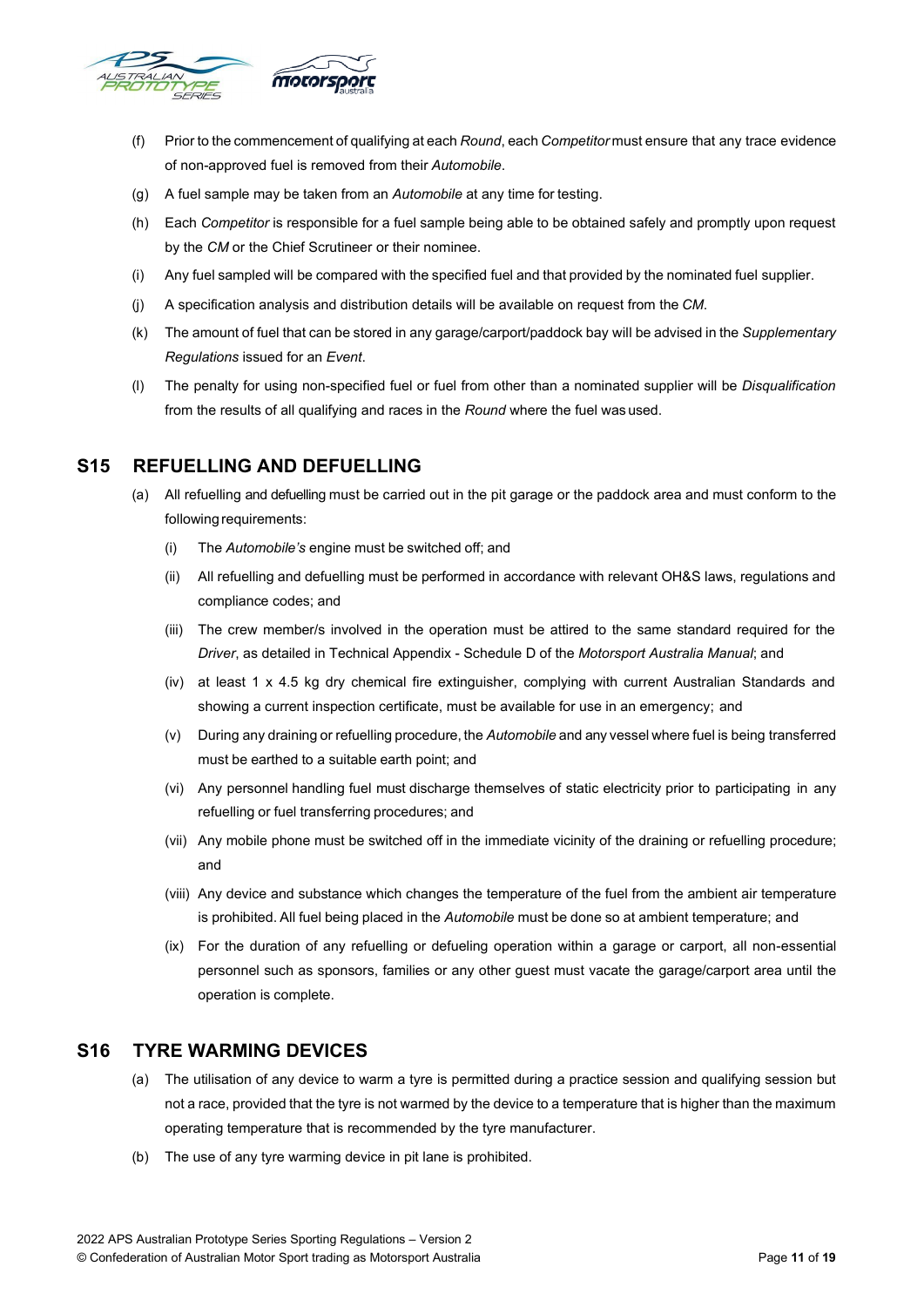

- (f) Prior to the commencement of qualifying at each *Round*, each *Competitor* must ensure that any trace evidence of non-approved fuel is removed from their *Automobile*.
- (g) A fuel sample may be taken from an *Automobile* at any time for testing.
- (h) Each *Competitor* is responsible for a fuel sample being able to be obtained safely and promptly upon request by the *CM* or the Chief Scrutineer or their nominee.
- (i) Any fuel sampled will be compared with the specified fuel and that provided by the nominated fuel supplier.
- (j) A specification analysis and distribution details will be available on request from the *CM*.
- (k) The amount of fuel that can be stored in any garage/carport/paddock bay will be advised in the *Supplementary Regulations* issued for an *Event*.
- (l) The penalty for using non-specified fuel or fuel from other than a nominated supplier will be *Disqualification* from the results of all qualifying and races in the *Round* where the fuel was used.

## <span id="page-10-0"></span>**S15 REFUELLING AND DEFUELLING**

- (a) All refuelling and defuelling must be carried out in the pit garage or the paddock area and must conform to the following requirements:
	- (i) The *Automobile's* engine must be switched off; and
	- (ii) All refuelling and defuelling must be performed in accordance with relevant OH&S laws, regulations and compliance codes; and
	- (iii) The crew member/s involved in the operation must be attired to the same standard required for the *Driver*, as detailed in Technical Appendix - Schedule D of the *Motorsport Australia Manual*; and
	- (iv) at least 1 x 4.5 kg dry chemical fire extinguisher, complying with current Australian Standards and showing a current inspection certificate, must be available for use in an emergency; and
	- (v) During any draining or refuelling procedure, the *Automobile* and any vessel where fuel is being transferred must be earthed to a suitable earth point; and
	- (vi) Any personnel handling fuel must discharge themselves of static electricity prior to participating in any refuelling or fuel transferring procedures; and
	- (vii) Any mobile phone must be switched off in the immediate vicinity of the draining or refuelling procedure; and
	- (viii) Any device and substance which changes the temperature of the fuel from the ambient air temperature is prohibited. All fuel being placed in the *Automobile* must be done so at ambient temperature; and
	- (ix) For the duration of any refuelling or defueling operation within a garage or carport, all non-essential personnel such as sponsors, families or any other guest must vacate the garage/carport area until the operation is complete.

## <span id="page-10-1"></span>**S16 TYRE WARMING DEVICES**

- (a) The utilisation of any device to warm a tyre is permitted during a practice session and qualifying session but not a race, provided that the tyre is not warmed by the device to a temperature that is higher than the maximum operating temperature that is recommended by the tyre manufacturer.
- (b) The use of any tyre warming device in pit lane is prohibited.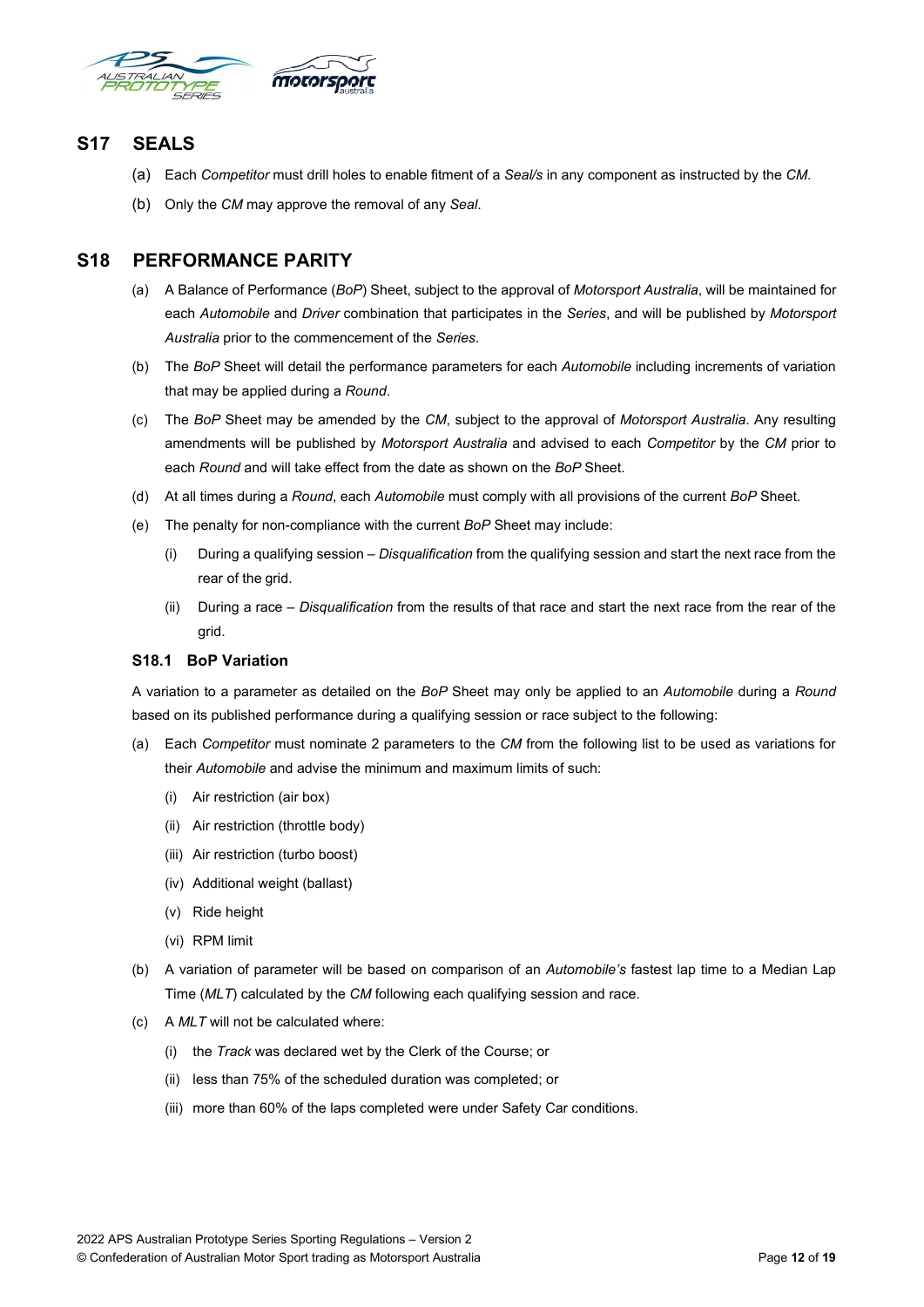

## <span id="page-11-0"></span>**S17 SEALS**

- (a) Each *Competitor* must drill holes to enable fitment of a *Seal/s* in any component as instructed by the *CM*.
- (b) Only the *CM* may approve the removal of any *Seal*.

## <span id="page-11-1"></span>**S18 PERFORMANCE PARITY**

- (a) A Balance of Performance (*BoP*) Sheet, subject to the approval of *Motorsport Australia*, will be maintained for each *Automobile* and *Driver* combination that participates in the *Series*, and will be published by *Motorsport Australia* prior to the commencement of the *Series*.
- (b) The *BoP* Sheet will detail the performance parameters for each *Automobile* including increments of variation that may be applied during a *Round*.
- (c) The *BoP* Sheet may be amended by the *CM*, subject to the approval of *Motorsport Australia*. Any resulting amendments will be published by *Motorsport Australia* and advised to each *Competitor* by the *CM* prior to each *Round* and will take effect from the date as shown on the *BoP* Sheet.
- (d) At all times during a *Round*, each *Automobile* must comply with all provisions of the current *BoP* Sheet.
- (e) The penalty for non-compliance with the current *BoP* Sheet may include:
	- (i) During a qualifying session *Disqualification* from the qualifying session and start the next race from the rear of the grid.
	- (ii) During a race *Disqualification* from the results of that race and start the next race from the rear of the grid.

#### <span id="page-11-2"></span>**S18.1 BoP Variation**

A variation to a parameter as detailed on the *BoP* Sheet may only be applied to an *Automobile* during a *Round* based on its published performance during a qualifying session or race subject to the following:

- (a) Each *Competitor* must nominate 2 parameters to the *CM* from the following list to be used as variations for their *Automobile* and advise the minimum and maximum limits of such:
	- (i) Air restriction (air box)
	- (ii) Air restriction (throttle body)
	- (iii) Air restriction (turbo boost)
	- (iv) Additional weight (ballast)
	- (v) Ride height
	- (vi) RPM limit
- (b) A variation of parameter will be based on comparison of an *Automobile's* fastest lap time to a Median Lap Time (*MLT*) calculated by the *CM* following each qualifying session and race.
- (c) A *MLT* will not be calculated where:
	- (i) the *Track* was declared wet by the Clerk of the Course; or
	- (ii) less than 75% of the scheduled duration was completed; or
	- (iii) more than 60% of the laps completed were under Safety Car conditions.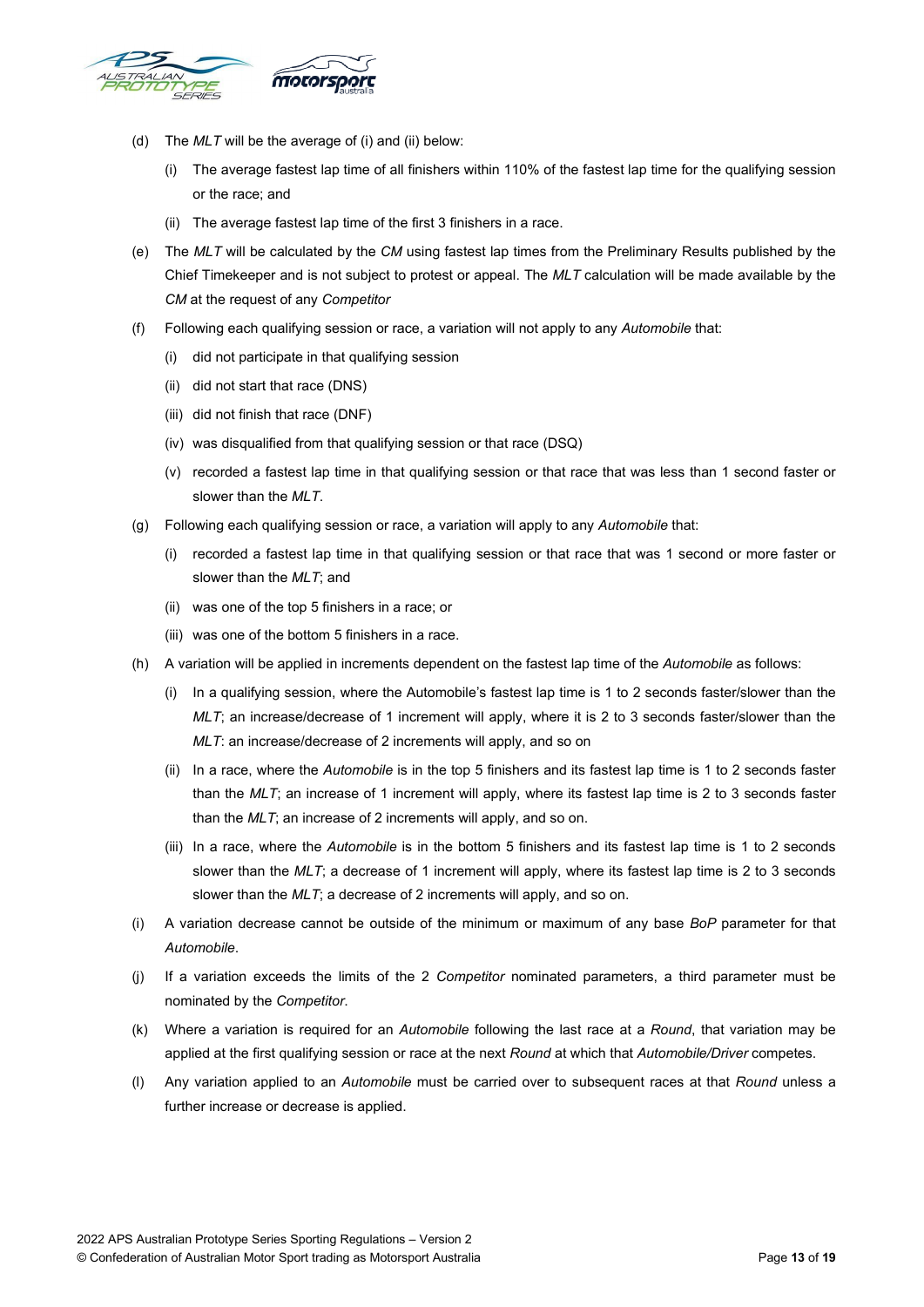

- (d) The *MLT* will be the average of (i) and (ii) below:
	- (i) The average fastest lap time of all finishers within 110% of the fastest lap time for the qualifying session or the race; and
	- (ii) The average fastest lap time of the first 3 finishers in a race.
- (e) The *MLT* will be calculated by the *CM* using fastest lap times from the Preliminary Results published by the Chief Timekeeper and is not subject to protest or appeal. The *MLT* calculation will be made available by the *CM* at the request of any *Competitor*
- (f) Following each qualifying session or race, a variation will not apply to any *Automobile* that:
	- (i) did not participate in that qualifying session
	- (ii) did not start that race (DNS)
	- (iii) did not finish that race (DNF)
	- (iv) was disqualified from that qualifying session or that race (DSQ)
	- (v) recorded a fastest lap time in that qualifying session or that race that was less than 1 second faster or slower than the *MLT*.
- (g) Following each qualifying session or race, a variation will apply to any *Automobile* that:
	- (i) recorded a fastest lap time in that qualifying session or that race that was 1 second or more faster or slower than the *MLT*; and
	- (ii) was one of the top 5 finishers in a race; or
	- (iii) was one of the bottom 5 finishers in a race.
- (h) A variation will be applied in increments dependent on the fastest lap time of the *Automobile* as follows:
	- (i) In a qualifying session, where the Automobile's fastest lap time is 1 to 2 seconds faster/slower than the *MLT*; an increase/decrease of 1 increment will apply, where it is 2 to 3 seconds faster/slower than the *MLT*: an increase/decrease of 2 increments will apply, and so on
	- (ii) In a race, where the *Automobile* is in the top 5 finishers and its fastest lap time is 1 to 2 seconds faster than the *MLT*; an increase of 1 increment will apply, where its fastest lap time is 2 to 3 seconds faster than the *MLT*; an increase of 2 increments will apply, and so on.
	- (iii) In a race, where the *Automobile* is in the bottom 5 finishers and its fastest lap time is 1 to 2 seconds slower than the *MLT*; a decrease of 1 increment will apply, where its fastest lap time is 2 to 3 seconds slower than the *MLT*; a decrease of 2 increments will apply, and so on.
- (i) A variation decrease cannot be outside of the minimum or maximum of any base *BoP* parameter for that *Automobile*.
- (j) If a variation exceeds the limits of the 2 *Competitor* nominated parameters, a third parameter must be nominated by the *Competitor*.
- (k) Where a variation is required for an *Automobile* following the last race at a *Round*, that variation may be applied at the first qualifying session or race at the next *Round* at which that *Automobile/Driver* competes.
- (l) Any variation applied to an *Automobile* must be carried over to subsequent races at that *Round* unless a further increase or decrease is applied.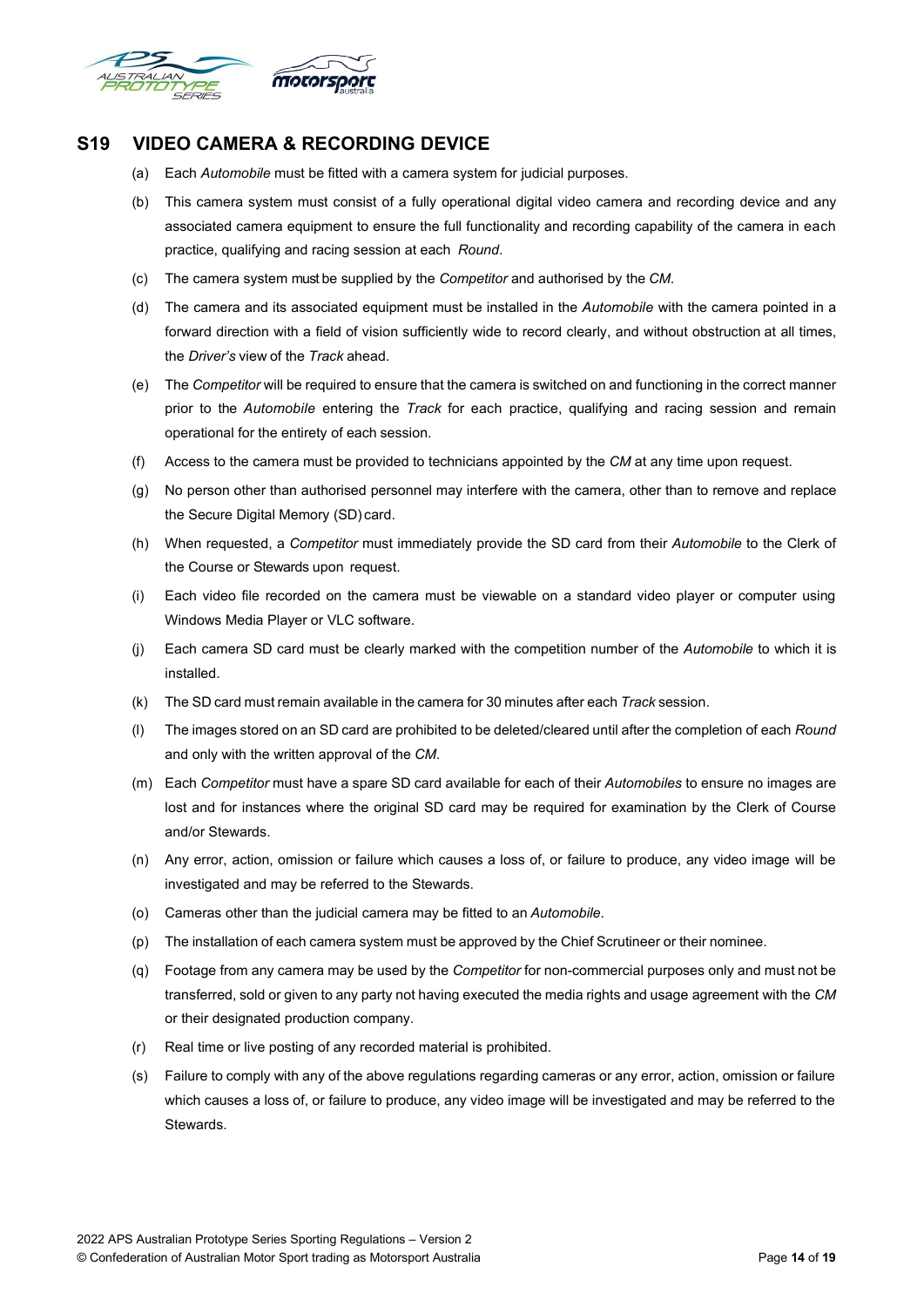

## <span id="page-13-0"></span>**S19 VIDEO CAMERA & RECORDING DEVICE**

- (a) Each *Automobile* must be fitted with a camera system for judicial purposes.
- (b) This camera system must consist of a fully operational digital video camera and recording device and any associated camera equipment to ensure the full functionality and recording capability of the camera in each practice, qualifying and racing session at each *Round*.
- (c) The camera system must be supplied by the *Competitor* and authorised by the *CM*.
- (d) The camera and its associated equipment must be installed in the *Automobile* with the camera pointed in a forward direction with a field of vision sufficiently wide to record clearly, and without obstruction at all times, the *Driver's* view of the *Track* ahead.
- (e) The *Competitor* will be required to ensure that the camera is switched on and functioning in the correct manner prior to the *Automobile* entering the *Track* for each practice, qualifying and racing session and remain operational for the entirety of each session.
- (f) Access to the camera must be provided to technicians appointed by the *CM* at any time upon request.
- (g) No person other than authorised personnel may interfere with the camera, other than to remove and replace the Secure Digital Memory (SD) card.
- (h) When requested, a *Competitor* must immediately provide the SD card from their *Automobile* to the Clerk of the Course or Stewards upon request.
- (i) Each video file recorded on the camera must be viewable on a standard video player or computer using Windows Media Player or VLC software.
- (j) Each camera SD card must be clearly marked with the competition number of the *Automobile* to which it is installed.
- (k) The SD card must remain available in the camera for 30 minutes after each *Track* session.
- (l) The images stored on an SD card are prohibited to be deleted/cleared until after the completion of each *Round* and only with the written approval of the *CM*.
- (m) Each *Competitor* must have a spare SD card available for each of their *Automobiles* to ensure no images are lost and for instances where the original SD card may be required for examination by the Clerk of Course and/or Stewards.
- (n) Any error, action, omission or failure which causes a loss of, or failure to produce, any video image will be investigated and may be referred to the Stewards.
- (o) Cameras other than the judicial camera may be fitted to an *Automobile*.
- (p) The installation of each camera system must be approved by the Chief Scrutineer or their nominee.
- (q) Footage from any camera may be used by the *Competitor* for non-commercial purposes only and must not be transferred, sold or given to any party not having executed the media rights and usage agreement with the *CM* or their designated production company.
- (r) Real time or live posting of any recorded material is prohibited.
- (s) Failure to comply with any of the above regulations regarding cameras or any error, action, omission or failure which causes a loss of, or failure to produce, any video image will be investigated and may be referred to the Stewards.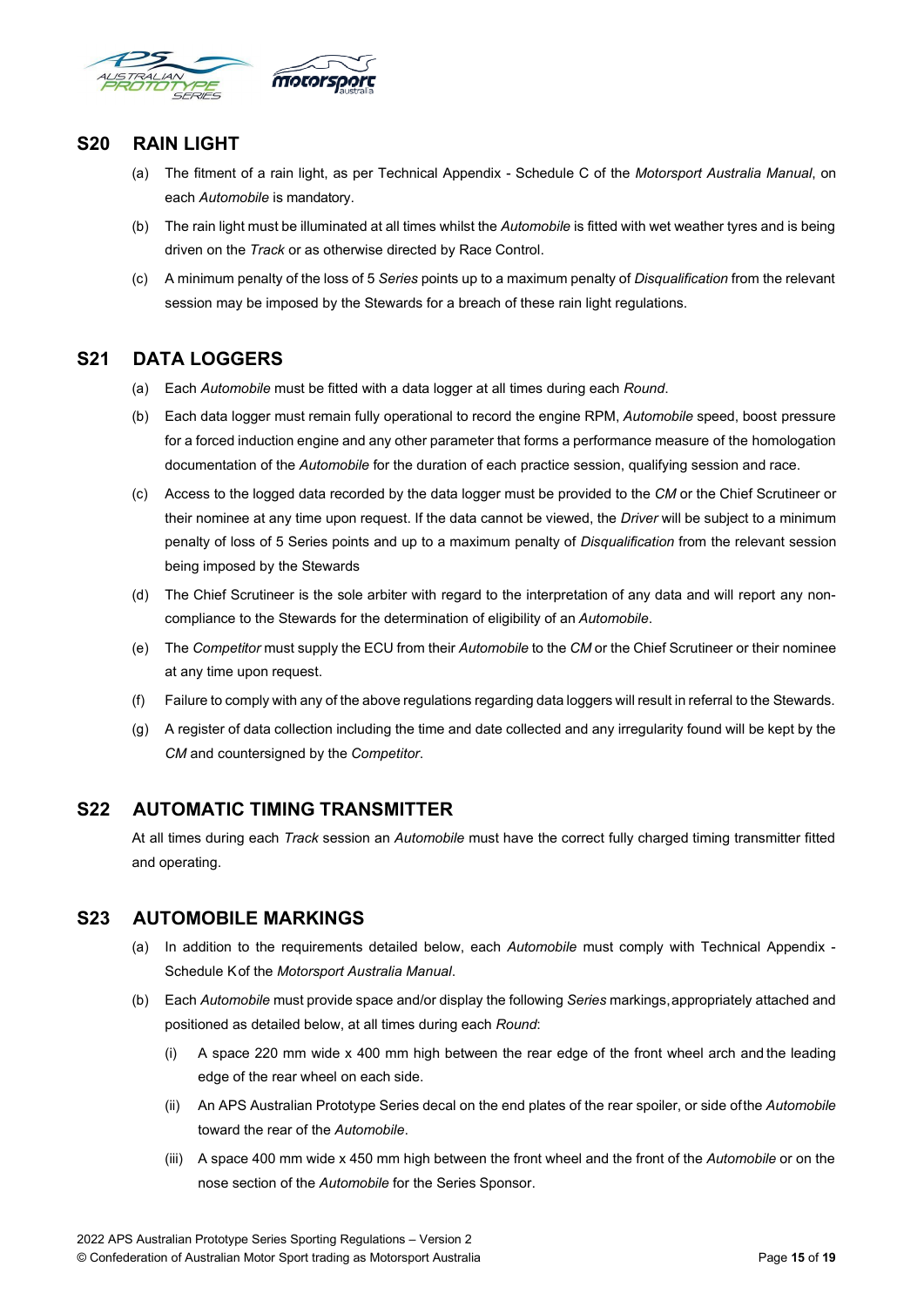

## <span id="page-14-0"></span>**S20 RAIN LIGHT**

- (a) The fitment of a rain light, as per Technical Appendix Schedule C of the *Motorsport Australia Manual*, on each *Automobile* is mandatory.
- (b) The rain light must be illuminated at all times whilst the *Automobile* is fitted with wet weather tyres and is being driven on the *Track* or as otherwise directed by Race Control.
- (c) A minimum penalty of the loss of 5 *Series* points up to a maximum penalty of *Disqualification* from the relevant session may be imposed by the Stewards for a breach of these rain light regulations.

## <span id="page-14-1"></span>**S21 DATA LOGGERS**

- (a) Each *Automobile* must be fitted with a data logger at all times during each *Round*.
- (b) Each data logger must remain fully operational to record the engine RPM, *Automobile* speed, boost pressure for a forced induction engine and any other parameter that forms a performance measure of the homologation documentation of the *Automobile* for the duration of each practice session, qualifying session and race.
- (c) Access to the logged data recorded by the data logger must be provided to the *CM* or the Chief Scrutineer or their nominee at any time upon request. If the data cannot be viewed, the *Driver* will be subject to a minimum penalty of loss of 5 Series points and up to a maximum penalty of *Disqualification* from the relevant session being imposed by the Stewards
- (d) The Chief Scrutineer is the sole arbiter with regard to the interpretation of any data and will report any noncompliance to the Stewards for the determination of eligibility of an *Automobile*.
- (e) The *Competitor* must supply the ECU from their *Automobile* to the *CM* or the Chief Scrutineer or their nominee at any time upon request.
- (f) Failure to comply with any of the above regulations regarding data loggers will result in referral to the Stewards.
- (g) A register of data collection including the time and date collected and any irregularity found will be kept by the *CM* and countersigned by the *Competitor*.

## <span id="page-14-2"></span>**S22 AUTOMATIC TIMING TRANSMITTER**

At all times during each *Track* session an *Automobile* must have the correct fully charged timing transmitter fitted and operating.

## <span id="page-14-3"></span>**S23 AUTOMOBILE MARKINGS**

- (a) In addition to the requirements detailed below, each *Automobile* must comply with Technical Appendix Schedule Kof the *Motorsport Australia Manual*.
- (b) Each *Automobile* must provide space and/or display the following *Series* markings,appropriately attached and positioned as detailed below, at all times during each *Round*:
	- (i) A space 220 mm wide x 400 mm high between the rear edge of the front wheel arch and the leading edge of the rear wheel on each side.
	- (ii) An APS Australian Prototype Series decal on the end plates of the rear spoiler, or side ofthe *Automobile* toward the rear of the *Automobile*.
	- (iii) A space 400 mm wide x 450 mm high between the front wheel and the front of the *Automobile* or on the nose section of the *Automobile* for the Series Sponsor.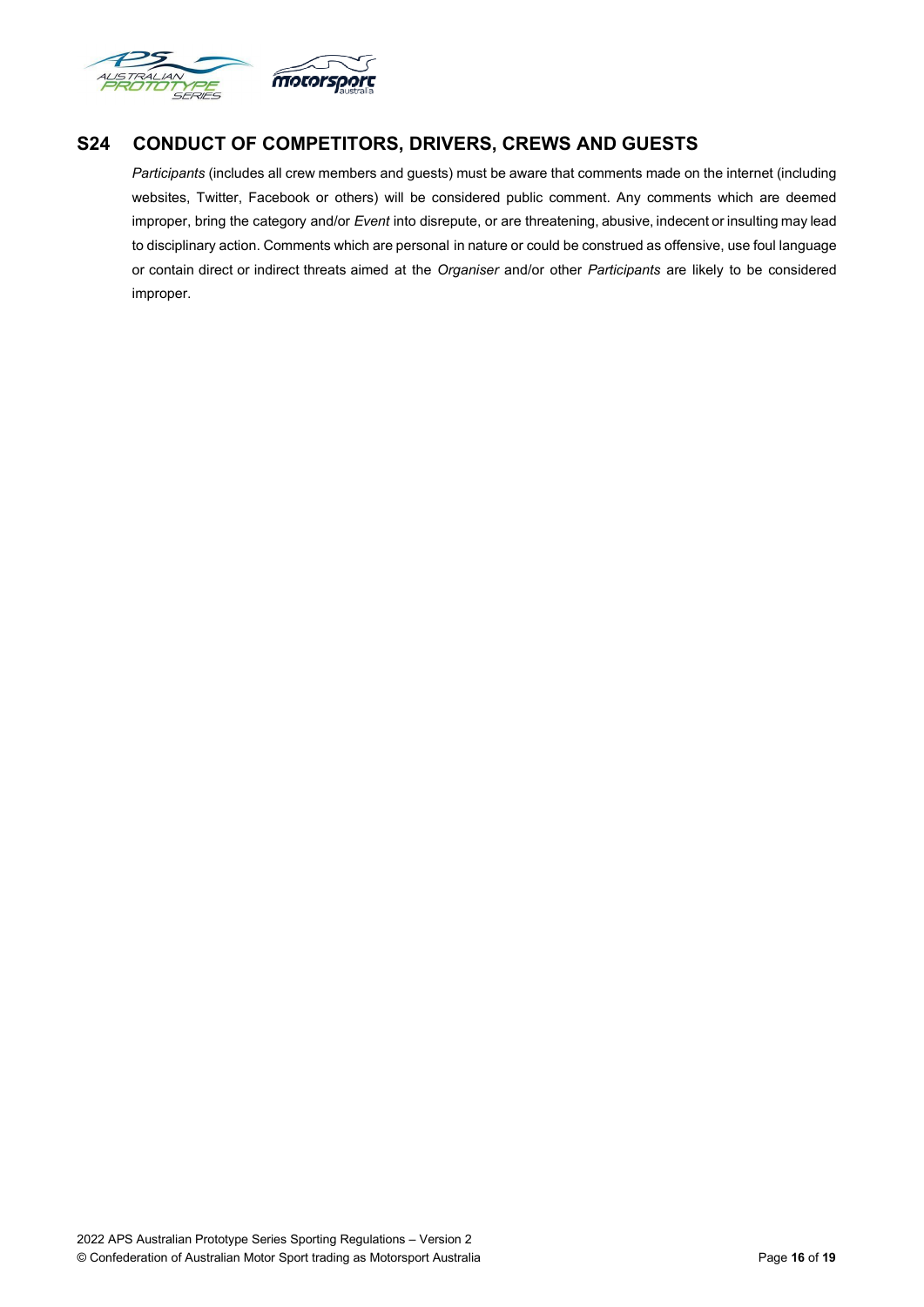

## <span id="page-15-0"></span>**S24 CONDUCT OF COMPETITORS, DRIVERS, CREWS AND GUESTS**

*Participants* (includes all crew members and guests) must be aware that comments made on the internet (including websites, Twitter, Facebook or others) will be considered public comment. Any comments which are deemed improper, bring the category and/or *Event* into disrepute, or are threatening, abusive, indecent or insulting may lead to disciplinary action. Comments which are personal in nature or could be construed as offensive, use foul language or contain direct or indirect threats aimed at the *Organiser* and/or other *Participants* are likely to be considered improper.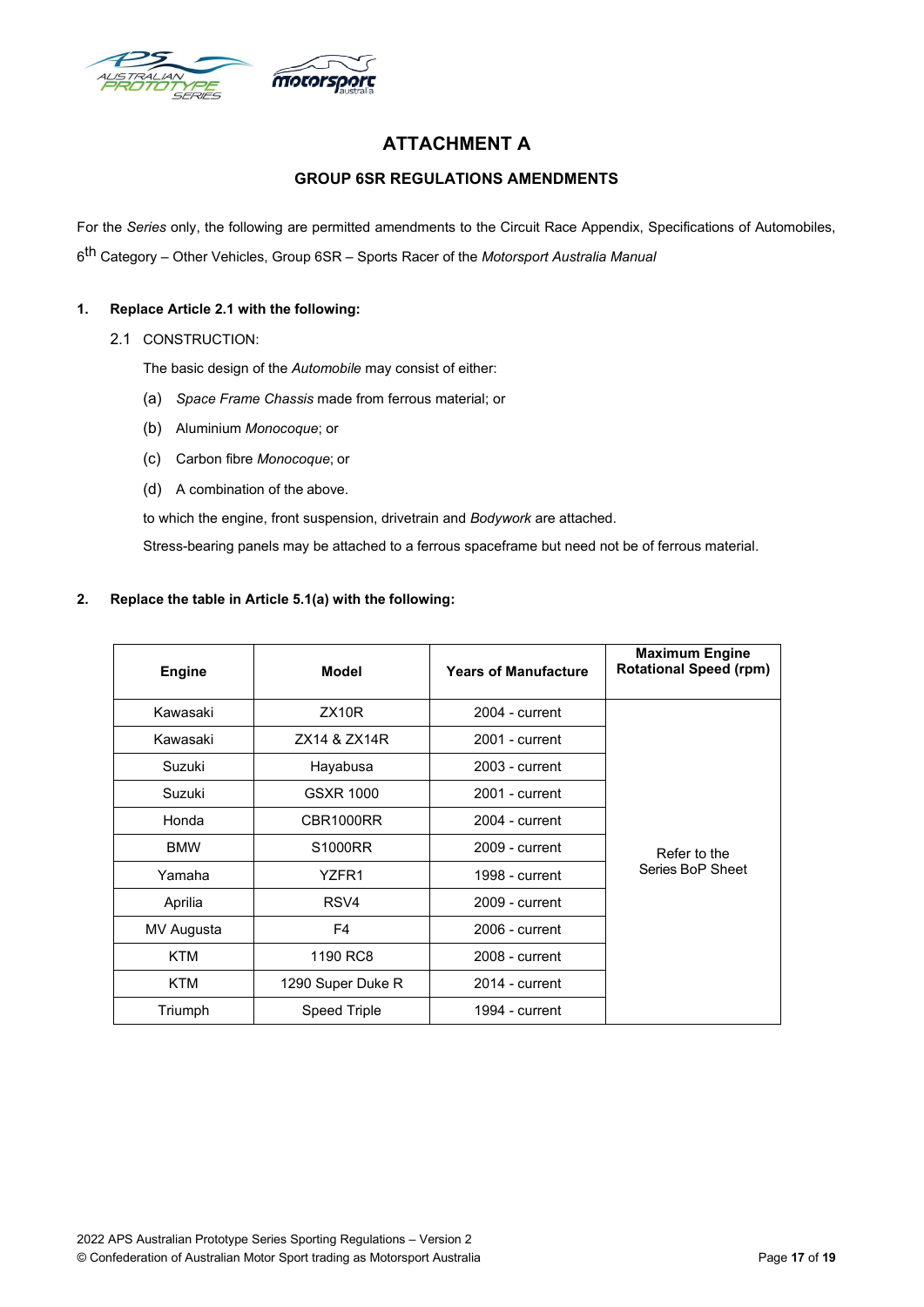<span id="page-16-0"></span>

## **ATTACHMENT A**

## **GROUP 6SR REGULATIONS AMENDMENTS**

<span id="page-16-1"></span>For the *Series* only, the following are permitted amendments to the Circuit Race Appendix, Specifications of Automobiles, 6th Category – Other Vehicles, Group 6SR – Sports Racer of the *Motorsport Australia Manual*

#### **1. Replace Article 2.1 with the following:**

2.1 CONSTRUCTION:

The basic design of the *Automobile* may consist of either:

- (a) *Space Frame Chassis* made from ferrous material; or
- (b) Aluminium *Monocoque*; or
- (c) Carbon fibre *Monocoque*; or
- (d) A combination of the above.

to which the engine, front suspension, drivetrain and *Bodywork* are attached.

Stress-bearing panels may be attached to a ferrous spaceframe but need not be of ferrous material.

#### **2. Replace the table in Article 5.1(a) with the following:**

| <b>Engine</b> | <b>Model</b>        | <b>Years of Manufacture</b> | <b>Maximum Engine</b><br><b>Rotational Speed (rpm)</b> |
|---------------|---------------------|-----------------------------|--------------------------------------------------------|
| Kawasaki      | ZX10R               | $2004$ - current            |                                                        |
| Kawasaki      | ZX14 & ZX14R        | 2001 - current              |                                                        |
| Suzuki        | Hayabusa            | 2003 - current              |                                                        |
| Suzuki        | GSXR 1000           | 2001 - current              |                                                        |
| Honda         | CBR1000RR           | $2004$ - current            |                                                        |
| <b>BMW</b>    | S1000RR             | $2009$ - current            | Refer to the                                           |
| Yamaha        | YZFR1               | 1998 - current              | Series BoP Sheet                                       |
| Aprilia       | RSV4                | 2009 - current              |                                                        |
| MV Augusta    | F4                  | $2006$ - current            |                                                        |
| <b>KTM</b>    | 1190 RC8            | 2008 - current              |                                                        |
| KTM           | 1290 Super Duke R   | $2014$ - current            |                                                        |
| Triumph       | <b>Speed Triple</b> | 1994 - current              |                                                        |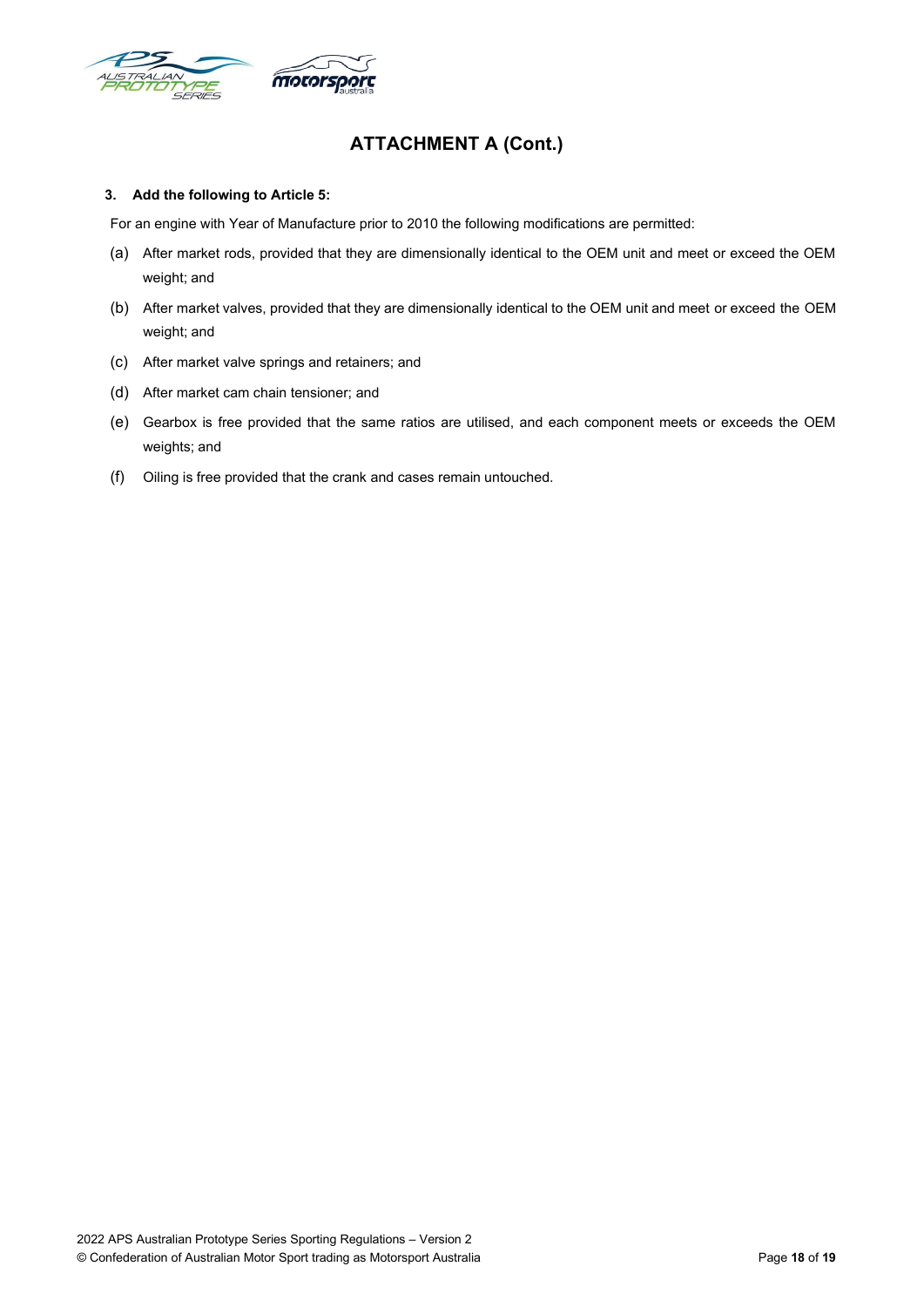

## **ATTACHMENT A (Cont.)**

#### **3. Add the following to Article 5:**

For an engine with Year of Manufacture prior to 2010 the following modifications are permitted:

- (a) After market rods, provided that they are dimensionally identical to the OEM unit and meet or exceed the OEM weight; and
- (b) After market valves, provided that they are dimensionally identical to the OEM unit and meet or exceed the OEM weight; and
- (c) After market valve springs and retainers; and
- (d) After market cam chain tensioner; and
- (e) Gearbox is free provided that the same ratios are utilised, and each component meets or exceeds the OEM weights; and
- (f) Oiling is free provided that the crank and cases remain untouched.